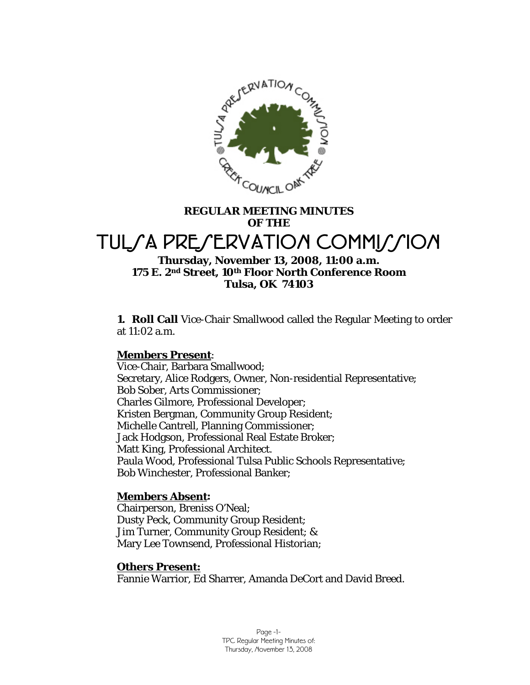

# **REGULAR MEETING MINUTES OF THE**  TUL*SA PRESERVATION COMMISSION*

## **Thursday, November 13, 2008, 11:00 a.m. 175 E. 2nd Street, 10th Floor North Conference Room Tulsa, OK 74103**

**1. Roll Call** Vice-Chair Smallwood called the Regular Meeting to order at 11:02 a.m.

## **Members Present**:

Vice-Chair, Barbara Smallwood; Secretary, Alice Rodgers, Owner, Non-residential Representative; Bob Sober, Arts Commissioner; Charles Gilmore, Professional Developer; Kristen Bergman, Community Group Resident; Michelle Cantrell, Planning Commissioner; Jack Hodgson, Professional Real Estate Broker; Matt King, Professional Architect. Paula Wood, Professional Tulsa Public Schools Representative; Bob Winchester, Professional Banker;

## **Members Absent:**

Chairperson, Breniss O'Neal; Dusty Peck, Community Group Resident; Jim Turner, Community Group Resident; & Mary Lee Townsend, Professional Historian;

## **Others Present:**

Fannie Warrior, Ed Sharrer, Amanda DeCort and David Breed.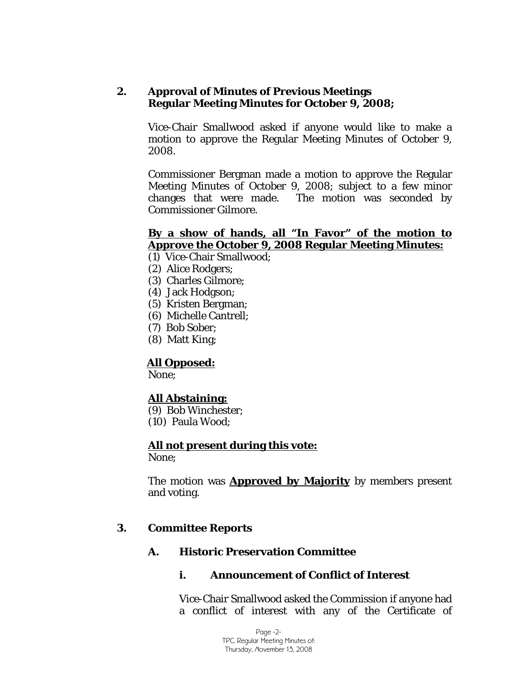## **2. Approval of Minutes of Previous Meetings Regular Meeting Minutes for October 9, 2008;**

Vice-Chair Smallwood asked if anyone would like to make a motion to approve the Regular Meeting Minutes of October 9, 2008.

Commissioner Bergman made a motion to approve the Regular Meeting Minutes of October 9, 2008; subject to a few minor changes that were made. The motion was seconded by Commissioner Gilmore.

## **By a show of hands, all "In Favor" of the motion to Approve the October 9, 2008 Regular Meeting Minutes:**

- (1) Vice-Chair Smallwood;
- (2) Alice Rodgers;
- (3) Charles Gilmore;
- (4) Jack Hodgson;
- (5) Kristen Bergman;
- (6) Michelle Cantrell;
- (7) Bob Sober;
- (8) Matt King;

## **All Opposed:**

None;

## **All Abstaining:**

- (9) Bob Winchester;
- (10) Paula Wood;

## **All not present during this vote:**

None;

The motion was **Approved by Majority** by members present and voting.

## **3. Committee Reports**

## **A. Historic Preservation Committee**

## **i. Announcement of Conflict of Interest**

Vice-Chair Smallwood asked the Commission if anyone had a conflict of interest with any of the Certificate of

> Page -2- TPC Regular Meeting Minutes of: Thursday, November 13, 2008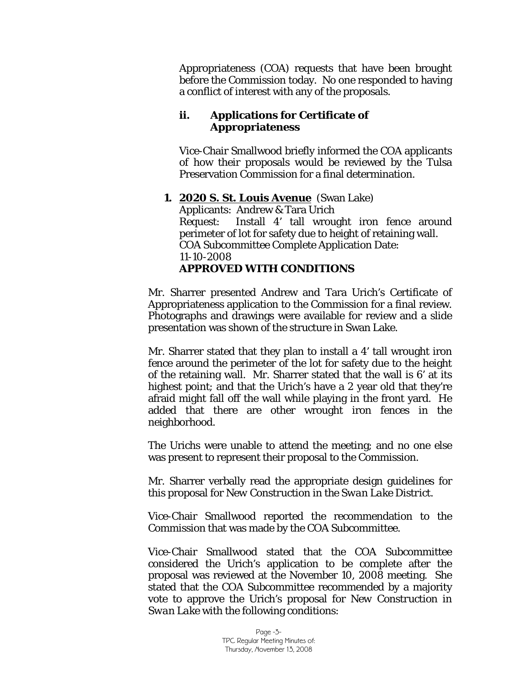Appropriateness (COA) requests that have been brought before the Commission today. No one responded to having a conflict of interest with any of the proposals.

## **ii. Applications for Certificate of Appropriateness**

Vice-Chair Smallwood briefly informed the COA applicants of how their proposals would be reviewed by the Tulsa Preservation Commission for a final determination.

### **1. 2020 S. St. Louis Avenue** (Swan Lake) Applicants: Andrew & Tara Urich Request: Install 4' tall wrought iron fence around perimeter of lot for safety due to height of retaining wall. COA Subcommittee Complete Application Date: 11-10-2008 **APPROVED WITH CONDITIONS**

Mr. Sharrer presented Andrew and Tara Urich's Certificate of Appropriateness application to the Commission for a final review. Photographs and drawings were available for review and a slide presentation was shown of the structure in Swan Lake.

Mr. Sharrer stated that they plan to install a 4' tall wrought iron fence around the perimeter of the lot for safety due to the height of the retaining wall. Mr. Sharrer stated that the wall is 6' at its highest point; and that the Urich's have a 2 year old that they're afraid might fall off the wall while playing in the front yard. He added that there are other wrought iron fences in the neighborhood.

The Urichs were unable to attend the meeting; and no one else was present to represent their proposal to the Commission.

Mr. Sharrer verbally read the appropriate design guidelines for this proposal for *New Construction in the Swan Lake District.* 

Vice-Chair Smallwood reported the recommendation to the Commission that was made by the COA Subcommittee.

Vice-Chair Smallwood stated that the COA Subcommittee considered the Urich's application to be complete after the proposal was reviewed at the November 10, 2008 meeting. She stated that the COA Subcommittee recommended by a majority vote to approve the Urich's proposal for *New Construction in Swan Lake* with the following conditions: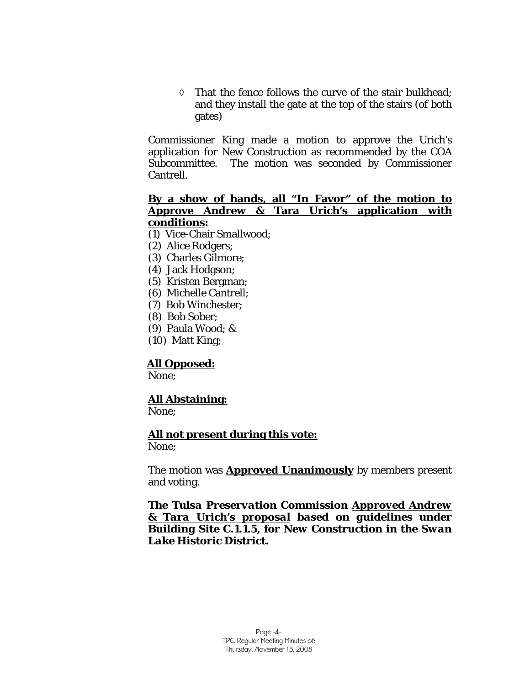◊ That the fence follows the curve of the stair bulkhead; and they install the gate at the top of the stairs (of both gates)

Commissioner King made a motion to approve the Urich's application for New Construction as recommended by the COA Subcommittee. The motion was seconded by Commissioner Cantrell.

#### **By a show of hands, all "In Favor" of the motion to Approve Andrew & Tara Urich's application with conditions:**

- (1) Vice-Chair Smallwood;
- (2) Alice Rodgers;
- (3) Charles Gilmore;
- (4) Jack Hodgson;
- (5) Kristen Bergman;
- (6) Michelle Cantrell;
- (7) Bob Winchester;
- (8) Bob Sober;
- (9) Paula Wood; &
- (10) Matt King;

#### **All Opposed:**

None;

## **All Abstaining:**

None;

#### **All not present during this vote:**

None;

The motion was **Approved Unanimously** by members present and voting.

*The Tulsa Preservation Commission Approved Andrew & Tara Urich's proposal based on guidelines under Building Site C.1.1.5, for New Construction in the Swan Lake Historic District.*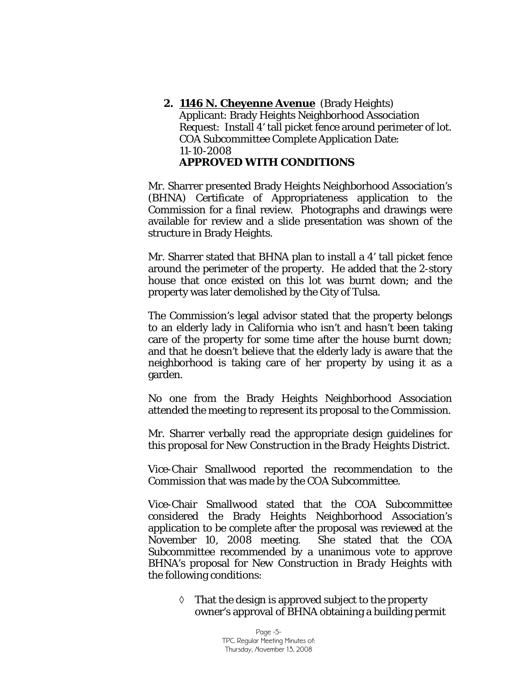**2. 1146 N. Cheyenne Avenue** (Brady Heights) Applicant: Brady Heights Neighborhood Association Request: Install 4' tall picket fence around perimeter of lot. COA Subcommittee Complete Application Date: 11-10-2008 **APPROVED WITH CONDITIONS** 

Mr. Sharrer presented Brady Heights Neighborhood Association's (BHNA) Certificate of Appropriateness application to the Commission for a final review. Photographs and drawings were available for review and a slide presentation was shown of the structure in Brady Heights.

Mr. Sharrer stated that BHNA plan to install a 4' tall picket fence around the perimeter of the property. He added that the 2-story house that once existed on this lot was burnt down; and the property was later demolished by the City of Tulsa.

The Commission's legal advisor stated that the property belongs to an elderly lady in California who isn't and hasn't been taking care of the property for some time after the house burnt down; and that he doesn't believe that the elderly lady is aware that the neighborhood is taking care of her property by using it as a garden.

No one from the Brady Heights Neighborhood Association attended the meeting to represent its proposal to the Commission.

Mr. Sharrer verbally read the appropriate design guidelines for this proposal for *New Construction in the Brady Heights District.* 

Vice-Chair Smallwood reported the recommendation to the Commission that was made by the COA Subcommittee.

Vice-Chair Smallwood stated that the COA Subcommittee considered the Brady Heights Neighborhood Association's application to be complete after the proposal was reviewed at the November 10, 2008 meeting. She stated that the COA Subcommittee recommended by a unanimous vote to approve BHNA's proposal for *New Construction in Brady Heights* with the following conditions:

 $\Diamond$  That the design is approved subject to the property owner's approval of BHNA obtaining a building permit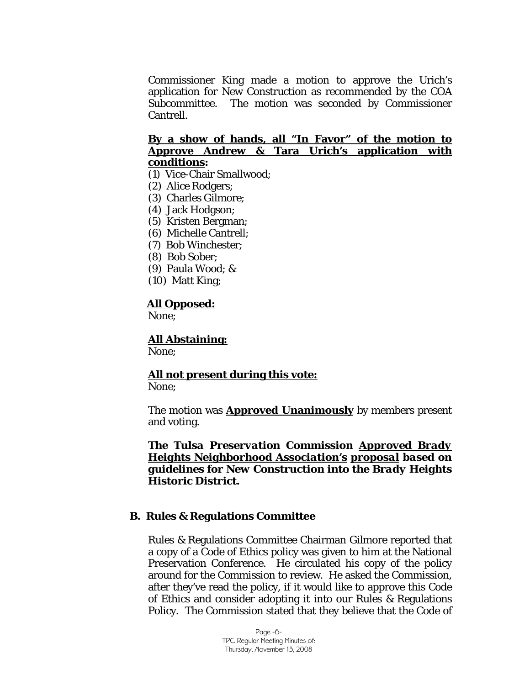Commissioner King made a motion to approve the Urich's application for New Construction as recommended by the COA Subcommittee. The motion was seconded by Commissioner Cantrell.

## **By a show of hands, all "In Favor" of the motion to Approve Andrew & Tara Urich's application with conditions:**

- (1) Vice-Chair Smallwood;
- (2) Alice Rodgers;
- (3) Charles Gilmore;
- (4) Jack Hodgson;
- (5) Kristen Bergman;
- (6) Michelle Cantrell;
- (7) Bob Winchester;
- (8) Bob Sober;
- (9) Paula Wood; &
- (10) Matt King;

#### **All Opposed:**

None;

### **All Abstaining:**

None;

## **All not present during this vote:**

None;

The motion was **Approved Unanimously** by members present and voting.

*The Tulsa Preservation Commission Approved Brady Heights Neighborhood Association's proposal based on guidelines for New Construction into the Brady Heights Historic District.*

#### **B. Rules & Regulations Committee**

Rules & Regulations Committee Chairman Gilmore reported that a copy of a Code of Ethics policy was given to him at the National Preservation Conference. He circulated his copy of the policy around for the Commission to review. He asked the Commission, after they've read the policy, if it would like to approve this Code of Ethics and consider adopting it into our Rules & Regulations Policy. The Commission stated that they believe that the Code of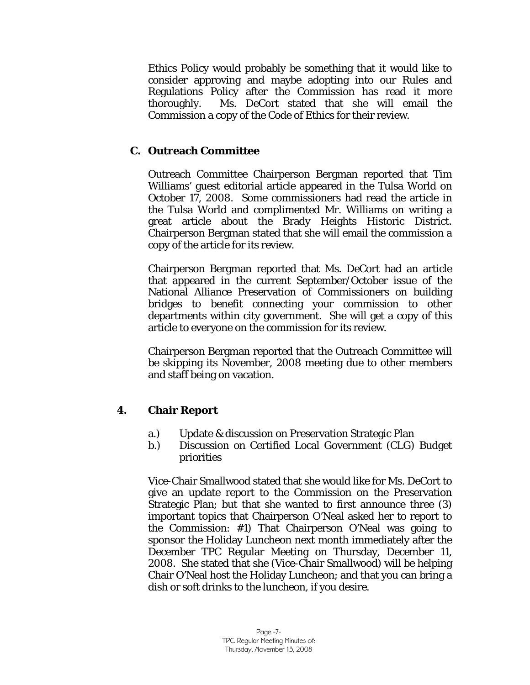Ethics Policy would probably be something that it would like to consider approving and maybe adopting into our Rules and Regulations Policy after the Commission has read it more thoroughly. Ms. DeCort stated that she will email the Commission a copy of the Code of Ethics for their review.

## **C. Outreach Committee**

Outreach Committee Chairperson Bergman reported that Tim Williams' guest editorial article appeared in the Tulsa World on October 17, 2008. Some commissioners had read the article in the Tulsa World and complimented Mr. Williams on writing a great article about the Brady Heights Historic District. Chairperson Bergman stated that she will email the commission a copy of the article for its review.

Chairperson Bergman reported that Ms. DeCort had an article that appeared in the current September/October issue of the National Alliance Preservation of Commissioners on building bridges to benefit connecting your commission to other departments within city government. She will get a copy of this article to everyone on the commission for its review.

Chairperson Bergman reported that the Outreach Committee will be skipping its November, 2008 meeting due to other members and staff being on vacation.

## **4. Chair Report**

- a.) Update & discussion on Preservation Strategic Plan
- b.) Discussion on Certified Local Government (CLG) Budget priorities

Vice-Chair Smallwood stated that she would like for Ms. DeCort to give an update report to the Commission on the Preservation Strategic Plan; but that she wanted to first announce three (3) important topics that Chairperson O'Neal asked her to report to the Commission: #1) That Chairperson O'Neal was going to sponsor the Holiday Luncheon next month immediately after the December TPC Regular Meeting on Thursday, December 11, 2008. She stated that she (Vice-Chair Smallwood) will be helping Chair O'Neal host the Holiday Luncheon; and that you can bring a dish or soft drinks to the luncheon, if you desire.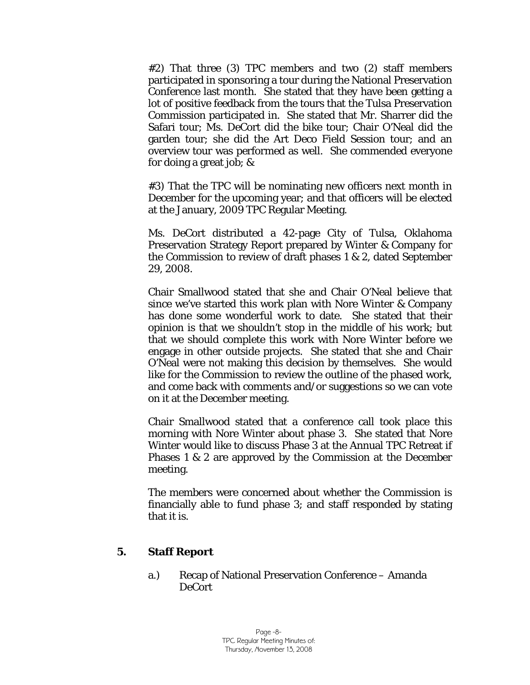#2) That three (3) TPC members and two (2) staff members participated in sponsoring a tour during the National Preservation Conference last month. She stated that they have been getting a lot of positive feedback from the tours that the Tulsa Preservation Commission participated in. She stated that Mr. Sharrer did the Safari tour; Ms. DeCort did the bike tour; Chair O'Neal did the garden tour; she did the Art Deco Field Session tour; and an overview tour was performed as well. She commended everyone for doing a great job; &

#3) That the TPC will be nominating new officers next month in December for the upcoming year; and that officers will be elected at the January, 2009 TPC Regular Meeting.

Ms. DeCort distributed a 42-page City of Tulsa, Oklahoma Preservation Strategy Report prepared by Winter & Company for the Commission to review of draft phases 1 & 2, dated September 29, 2008.

Chair Smallwood stated that she and Chair O'Neal believe that since we've started this work plan with Nore Winter & Company has done some wonderful work to date. She stated that their opinion is that we shouldn't stop in the middle of his work; but that we should complete this work with Nore Winter before we engage in other outside projects. She stated that she and Chair O'Neal were not making this decision by themselves. She would like for the Commission to review the outline of the phased work, and come back with comments and/or suggestions so we can vote on it at the December meeting.

Chair Smallwood stated that a conference call took place this morning with Nore Winter about phase 3. She stated that Nore Winter would like to discuss Phase 3 at the Annual TPC Retreat if Phases 1 & 2 are approved by the Commission at the December meeting.

The members were concerned about whether the Commission is financially able to fund phase 3; and staff responded by stating that it is.

#### **5. Staff Report**

a.) Recap of National Preservation Conference – Amanda DeCort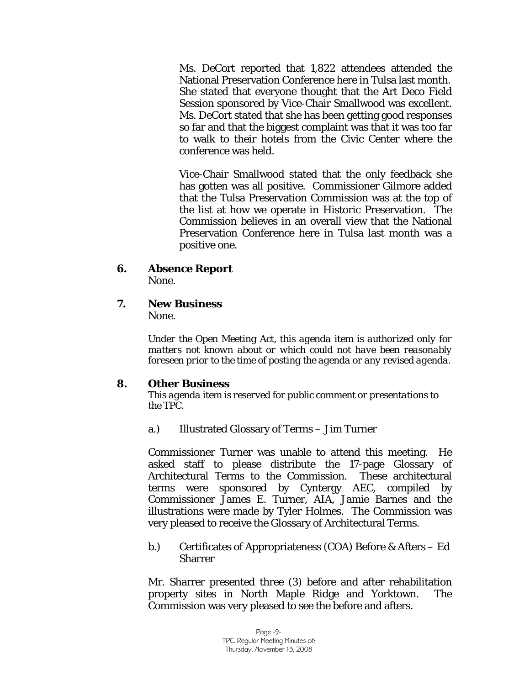Ms. DeCort reported that 1,822 attendees attended the National Preservation Conference here in Tulsa last month. She stated that everyone thought that the Art Deco Field Session sponsored by Vice-Chair Smallwood was excellent. Ms. DeCort stated that she has been getting good responses so far and that the biggest complaint was that it was too far to walk to their hotels from the Civic Center where the conference was held.

Vice-Chair Smallwood stated that the only feedback she has gotten was all positive. Commissioner Gilmore added that the Tulsa Preservation Commission was at the top of the list at how we operate in Historic Preservation. The Commission believes in an overall view that the National Preservation Conference here in Tulsa last month was a positive one.

- **6. Absence Report** None.
- **7. New Business**

None.

*Under the Open Meeting Act, this agenda item is authorized only for matters not known about or which could not have been reasonably foreseen prior to the time of posting the agenda or any revised agenda.* 

## **8. Other Business**

*This agenda item is reserved for public comment or presentations to the TPC.* 

a.) Illustrated Glossary of Terms – Jim Turner

 Commissioner Turner was unable to attend this meeting. He asked staff to please distribute the 17-page Glossary of Architectural Terms to the Commission. These architectural terms were sponsored by Cyntergy AEC, compiled by Commissioner James E. Turner, AIA, Jamie Barnes and the illustrations were made by Tyler Holmes. The Commission was very pleased to receive the Glossary of Architectural Terms.

b.) Certificates of Appropriateness (COA) Before & Afters – Ed **Sharrer** 

Mr. Sharrer presented three (3) before and after rehabilitation property sites in North Maple Ridge and Yorktown. The Commission was very pleased to see the before and afters.